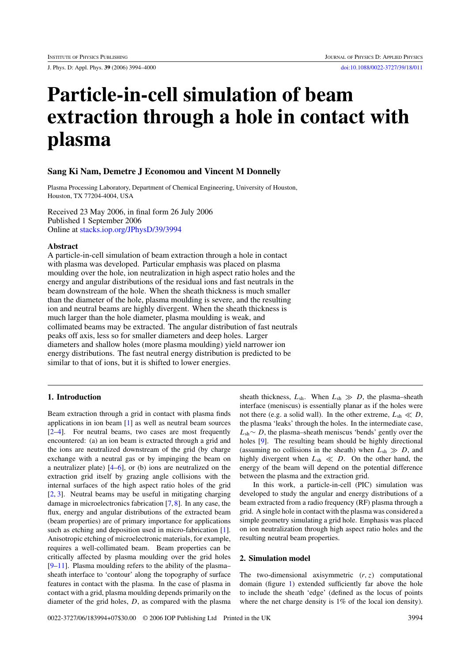J. Phys. D: Appl. Phys. **39** (2006) 3994–4000 [doi:10.1088/0022-3727/39/18/011](http://dx.doi.org/10.1088/0022-3727/39/18/011)

# **Particle-in-cell simulation of beam extraction through a hole in contact with plasma**

# **Sang Ki Nam, Demetre J Economou and Vincent M Donnelly**

Plasma Processing Laboratory, Department of Chemical Engineering, University of Houston, Houston, TX 77204-4004, USA

Received 23 May 2006, in final form 26 July 2006 Published 1 September 2006 Online at [stacks.iop.org/JPhysD/39/3994](http://stacks.iop.org/JPhysD/39/3994)

## **Abstract**

A particle-in-cell simulation of beam extraction through a hole in contact with plasma was developed. Particular emphasis was placed on plasma moulding over the hole, ion neutralization in high aspect ratio holes and the energy and angular distributions of the residual ions and fast neutrals in the beam downstream of the hole. When the sheath thickness is much smaller than the diameter of the hole, plasma moulding is severe, and the resulting ion and neutral beams are highly divergent. When the sheath thickness is much larger than the hole diameter, plasma moulding is weak, and collimated beams may be extracted. The angular distribution of fast neutrals peaks off axis, less so for smaller diameters and deep holes. Larger diameters and shallow holes (more plasma moulding) yield narrower ion energy distributions. The fast neutral energy distribution is predicted to be similar to that of ions, but it is shifted to lower energies.

# **1. Introduction**

Beam extraction through a grid in contact with plasma finds applications in ion beam [\[1\]](#page-5-0) as well as neutral beam sources [\[2–4\]](#page-5-0). For neutral beams, two cases are most frequently encountered: (a) an ion beam is extracted through a grid and the ions are neutralized downstream of the grid (by charge exchange with a neutral gas or by impinging the beam on a neutralizer plate)  $[4-6]$ , or (b) ions are neutralized on the extraction grid itself by grazing angle collisions with the internal surfaces of the high aspect ratio holes of the grid [\[2,](#page-5-0) [3\]](#page-5-0). Neutral beams may be useful in mitigating charging damage in microelectronics fabrication [\[7,8\]](#page-5-0). In any case, the flux, energy and angular distributions of the extracted beam (beam properties) are of primary importance for applications such as etching and deposition used in micro-fabrication [\[1\]](#page-5-0). Anisotropic etching of microelectronic materials, for example, requires a well-collimated beam. Beam properties can be critically affected by plasma moulding over the grid holes [\[9–11\]](#page-6-0). Plasma moulding refers to the ability of the plasma– sheath interface to 'contour' along the topography of surface features in contact with the plasma. In the case of plasma in contact with a grid, plasma moulding depends primarily on the diameter of the grid holes, *D*, as compared with the plasma

sheath thickness,  $L_{\rm sh}$ . When  $L_{\rm sh} \gg D$ , the plasma–sheath interface (meniscus) is essentially planar as if the holes were not there (e.g. a solid wall). In the other extreme,  $L_{\text{sh}} \ll D$ , the plasma 'leaks' through the holes. In the intermediate case, *L*sh∼ *D*, the plasma–sheath meniscus 'bends' gently over the holes [\[9\]](#page-6-0). The resulting beam should be highly directional (assuming no collisions in the sheath) when  $L_{\rm sh} \gg D$ , and highly divergent when  $L_{sh} \ll D$ . On the other hand, the energy of the beam will depend on the potential difference between the plasma and the extraction grid.

In this work, a particle-in-cell (PIC) simulation was developed to study the angular and energy distributions of a beam extracted from a radio frequency (RF) plasma through a grid. A single hole in contact with the plasma was considered a simple geometry simulating a grid hole. Emphasis was placed on ion neutralization through high aspect ratio holes and the resulting neutral beam properties.

#### **2. Simulation model**

The two-dimensional axisymmetric  $(r, z)$  computational domain (figure [1\)](#page-1-0) extended sufficiently far above the hole to include the sheath 'edge' (defined as the locus of points where the net charge density is 1% of the local ion density).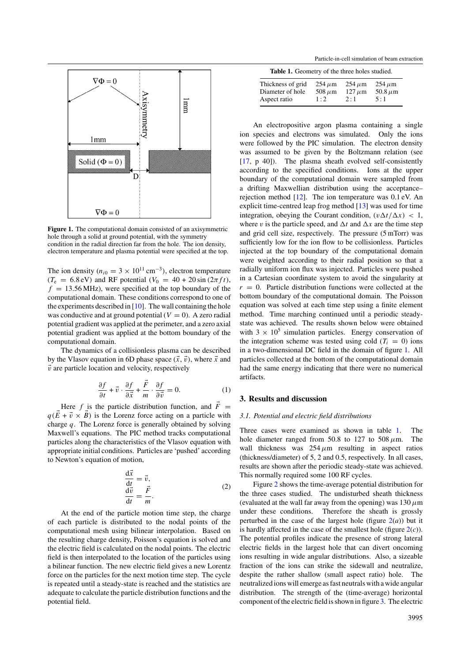<span id="page-1-0"></span>

**Figure 1.** The computational domain consisted of an axisymmetric hole through a solid at ground potential, with the symmetry condition in the radial direction far from the hole. The ion density, electron temperature and plasma potential were specified at the top.

The ion density ( $n_{i0} = 3 \times 10^{11}$  cm<sup>-3</sup>), electron temperature  $(T_e = 6.8 \text{ eV})$  and RF potential  $(V_0 = 40 + 20 \sin(2\pi ft))$ ,  $f = 13.56 \text{ MHz}$ , were specified at the top boundary of the computational domain. These conditions correspond to one of the experiments described in  $[10]$ . The wall containing the hole was conductive and at ground potential  $(V = 0)$ . A zero radial potential gradient was applied at the perimeter, and a zero axial potential gradient was applied at the bottom boundary of the computational domain.

The dynamics of a collisionless plasma can be described by the Vlasov equation in 6D phase space  $(\vec{x}, \vec{v})$ , where  $\vec{x}$  and  $\vec{v}$  are particle location and velocity, respectively

$$
\frac{\partial f}{\partial t} + \vec{v} \cdot \frac{\partial f}{\partial \vec{x}} + \frac{\vec{F}}{m} \cdot \frac{\partial f}{\partial \vec{v}} = 0.
$$
 (1)

Here *f* is the particle distribution function, and  $\vec{F}$  =  $q(\vec{E} + \vec{v} \times \vec{B})$  is the Lorenz force acting on a particle with charge *q*. The Lorenz force is generally obtained by solving Maxwell's equations. The PIC method tracks computational particles along the characteristics of the Vlasov equation with appropriate initial conditions. Particles are 'pushed' according to Newton's equation of motion,

$$
\frac{d\vec{x}}{dt} = \vec{v},
$$
  
\n
$$
\frac{d\vec{v}}{dt} = \frac{\vec{F}}{m}.
$$
\n(2)

At the end of the particle motion time step, the charge of each particle is distributed to the nodal points of the computational mesh using bilinear interpolation. Based on the resulting charge density, Poisson's equation is solved and the electric field is calculated on the nodal points. The electric field is then interpolated to the location of the particles using a bilinear function. The new electric field gives a new Lorentz force on the particles for the next motion time step. The cycle is repeated until a steady-state is reached and the statistics are adequate to calculate the particle distribution functions and the potential field.

Particle-in-cell simulation of beam extraction

| <b>Table 1.</b> Geometry of the three holes studied. |             |             |               |
|------------------------------------------------------|-------------|-------------|---------------|
| Thickness of grid                                    | $254 \mu m$ | $254 \mu m$ | $254 \,\mu m$ |
| Diameter of hole                                     | $508 \mu m$ | $127 \mu m$ | 50.8 $\mu$ m  |
| Aspect ratio                                         | 1:2         | 2:1         | 5:1           |

An electropositive argon plasma containing a single ion species and electrons was simulated. Only the ions were followed by the PIC simulation. The electron density was assumed to be given by the Boltzmann relation (see [\[17,](#page-6-0) p 40]). The plasma sheath evolved self-consistently according to the specified conditions. Ions at the upper boundary of the computational domain were sampled from a drifting Maxwellian distribution using the acceptance– rejection method [\[12\]](#page-6-0). The ion temperature was 0.1 eV. An explicit time-centred leap frog method [\[13\]](#page-6-0) was used for time integration, obeying the Courant condition,  $(v \Delta t / \Delta x) < 1$ , where *v* is the particle speed, and  $\Delta t$  and  $\Delta x$  are the time step and grid cell size, respectively. The pressure (5 mTorr) was sufficiently low for the ion flow to be collisionless. Particles injected at the top boundary of the computational domain were weighted according to their radial position so that a radially uniform ion flux was injected. Particles were pushed in a Cartesian coordinate system to avoid the singularity at  $r = 0$ . Particle distribution functions were collected at the bottom boundary of the computational domain. The Poisson equation was solved at each time step using a finite element method. Time marching continued until a periodic steadystate was achieved. The results shown below were obtained with  $3 \times 10^5$  simulation particles. Energy conservation of the integration scheme was tested using cold  $(T<sub>i</sub> = 0)$  ions in a two-dimensional DC field in the domain of figure 1. All particles collected at the bottom of the computational domain had the same energy indicating that there were no numerical artifacts.

# **3. Results and discussion**

## *3.1. Potential and electric field distributions*

Three cases were examined as shown in table 1. The hole diameter ranged from 50.8 to 127 to 508 $\mu$ m. The wall thickness was  $254 \mu m$  resulting in aspect ratios (thickness/diameter) of 5, 2 and 0.5, respectively. In all cases, results are shown after the periodic steady-state was achieved. This normally required some 100 RF cycles.

Figure [2](#page-2-0) shows the time-average potential distribution for the three cases studied. The undisturbed sheath thickness (evaluated at the wall far away from the opening) was  $130 \mu m$ under these conditions. Therefore the sheath is grossly perturbed in the case of the largest hole (figure  $2(a)$  $2(a)$ ) but it is hardly affected in the case of the smallest hole (figure [2\(](#page-2-0)*c*)). The potential profiles indicate the presence of strong lateral electric fields in the largest hole that can divert oncoming ions resulting in wide angular distributions. Also, a sizeable fraction of the ions can strike the sidewall and neutralize, despite the rather shallow (small aspect ratio) hole. The neutralized ions will emerge as fast neutrals with a wide angular distribution. The strength of the (time-average) horizontal component of the electric field is shown in figure [3.](#page-2-0) The electric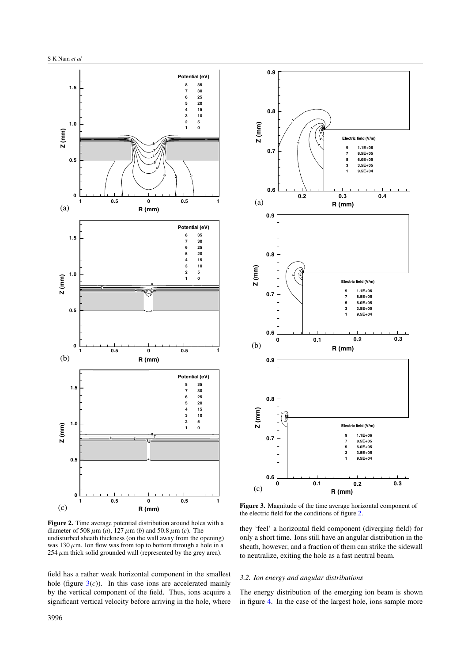<span id="page-2-0"></span>

**Figure 2.** Time average potential distribution around holes with a diameter of 508  $\mu$ m (*a*), 127  $\mu$ m (*b*) and 50.8  $\mu$ m (*c*). The undisturbed sheath thickness (on the wall away from the opening) was  $130 \mu$ m. Ion flow was from top to bottom through a hole in a  $254 \mu$ m thick solid grounded wall (represented by the grey area).

field has a rather weak horizontal component in the smallest hole (figure  $3(c)$ ). In this case ions are accelerated mainly by the vertical component of the field. Thus, ions acquire a significant vertical velocity before arriving in the hole, where



**Figure 3.** Magnitude of the time average horizontal component of the electric field for the conditions of figure 2.

they 'feel' a horizontal field component (diverging field) for only a short time. Ions still have an angular distribution in the sheath, however, and a fraction of them can strike the sidewall to neutralize, exiting the hole as a fast neutral beam.

## *3.2. Ion energy and angular distributions*

The energy distribution of the emerging ion beam is shown in figure [4.](#page-3-0) In the case of the largest hole, ions sample more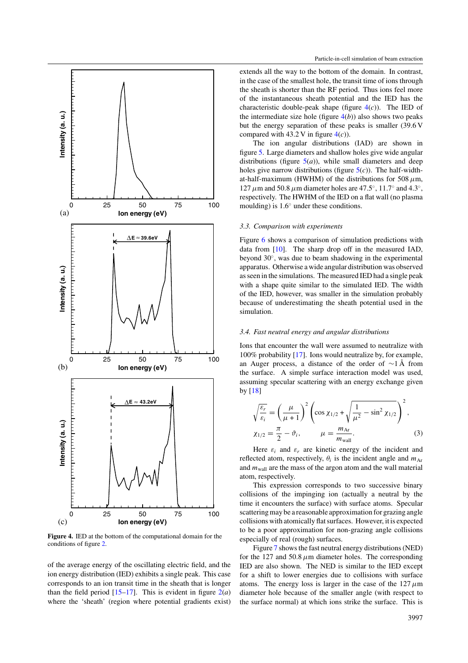<span id="page-3-0"></span>

**Figure 4.** IED at the bottom of the computational domain for the conditions of figure [2.](#page-2-0)

of the average energy of the oscillating electric field, and the ion energy distribution (IED) exhibits a single peak. This case corresponds to an ion transit time in the sheath that is longer than the field period  $[15-17]$ . This is evident in figure  $2(a)$  $2(a)$ where the 'sheath' (region where potential gradients exist)

extends all the way to the bottom of the domain. In contrast, in the case of the smallest hole, the transit time of ions through the sheath is shorter than the RF period. Thus ions feel more of the instantaneous sheath potential and the IED has the characteristic double-peak shape (figure  $4(c)$ ). The IED of the intermediate size hole (figure  $4(b)$ ) also shows two peaks but the energy separation of these peaks is smaller (39.6 V compared with  $43.2$  V in figure  $4(c)$ ).

The ion angular distributions (IAD) are shown in figure [5.](#page-4-0) Large diameters and shallow holes give wide angular distributions (figure  $5(a)$  $5(a)$ ), while small diameters and deep holes give narrow distributions (figure [5\(](#page-4-0)*c*)). The half-widthat-half-maximum (HWHM) of the distributions for 508  $\mu$ m, 127*µ*m and 50.8*µ*m diameter holes are 47.5◦, 11.7◦ and 4.3◦, respectively. The HWHM of the IED on a flat wall (no plasma moulding) is 1.6◦ under these conditions.

### *3.3. Comparison with experiments*

Figure [6](#page-4-0) shows a comparison of simulation predictions with data from [\[10\]](#page-6-0). The sharp drop off in the measured IAD, beyond 30◦, was due to beam shadowing in the experimental apparatus. Otherwise a wide angular distribution was observed as seen in the simulations. The measured IED had a single peak with a shape quite similar to the simulated IED. The width of the IED, however, was smaller in the simulation probably because of underestimating the sheath potential used in the simulation.

## *3.4. Fast neutral energy and angular distributions*

Ions that encounter the wall were assumed to neutralize with 100% probability [\[17\]](#page-6-0). Ions would neutralize by, for example, an Auger process, a distance of the order of  $\sim$ 1 Å from the surface. A simple surface interaction model was used, assuming specular scattering with an energy exchange given by [\[18\]](#page-6-0)

$$
\sqrt{\frac{\varepsilon_r}{\varepsilon_i}} = \left(\frac{\mu}{\mu+1}\right)^2 \left(\cos \chi_{1/2} + \sqrt{\frac{1}{\mu^2} - \sin^2 \chi_{1/2}}\right)^2,
$$
  

$$
\chi_{1/2} = \frac{\pi}{2} - \vartheta_i, \qquad \mu = \frac{m_{\text{Ar}}}{m_{\text{wall}}}.
$$
 (3)

Here  $\varepsilon_i$  and  $\varepsilon_r$  are kinetic energy of the incident and reflected atom, respectively,  $\theta_i$  is the incident angle and  $m_{\text{Ar}}$ and  $m_{\text{wall}}$  are the mass of the argon atom and the wall material atom, respectively.

This expression corresponds to two successive binary collisions of the impinging ion (actually a neutral by the time it encounters the surface) with surface atoms. Specular scattering may be a reasonable approximation for grazing angle collisions with atomically flat surfaces. However, it is expected to be a poor approximation for non-grazing angle collisions especially of real (rough) surfaces.

Figure [7](#page-5-0) shows the fast neutral energy distributions (NED) for the 127 and 50.8  $\mu$ m diameter holes. The corresponding IED are also shown. The NED is similar to the IED except for a shift to lower energies due to collisions with surface atoms. The energy loss is larger in the case of the  $127 \mu m$ diameter hole because of the smaller angle (with respect to the surface normal) at which ions strike the surface. This is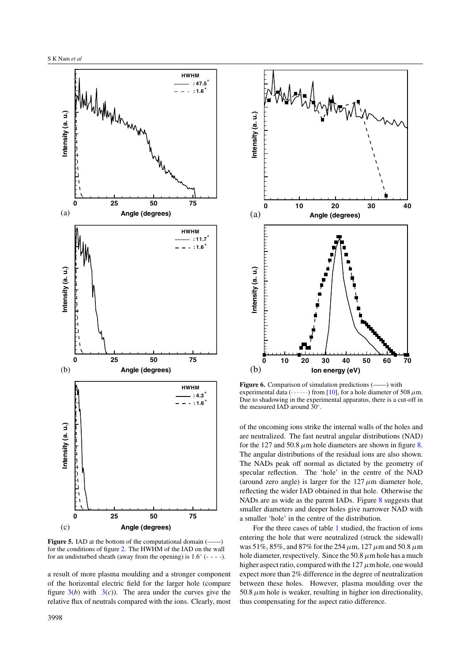<span id="page-4-0"></span>

**Figure 5.** IAD at the bottom of the computational domain (– for the conditions of figure [2.](#page-2-0) The HWHM of the IAD on the wall for an undisturbed sheath (away from the opening) is  $1.6°$  (- - - -).

a result of more plasma moulding and a stronger component of the horizontal electric field for the larger hole (compare figure  $3(b)$  $3(b)$  with  $3(c)$ ). The area under the curves give the relative flux of neutrals compared with the ions. Clearly, most



Figure 6. Comparison of simulation predictions (-igure 6. Comparison of simulation predictions (-igure) experimental data  $(\cdots)$  from [\[10\]](#page-6-0), for a hole diameter of 508  $\mu$ m. Due to shadowing in the experimental apparatus, there is a cut-off in the measured IAD around 30◦.

of the oncoming ions strike the internal walls of the holes and are neutralized. The fast neutral angular distributions (NAD) for the 127 and 50.8  $\mu$ m hole diameters are shown in figure [8.](#page-5-0) The angular distributions of the residual ions are also shown. The NADs peak off normal as dictated by the geometry of specular reflection. The 'hole' in the centre of the NAD (around zero angle) is larger for the  $127 \mu m$  diameter hole, reflecting the wider IAD obtained in that hole. Otherwise the NADs are as wide as the parent IADs. Figure [8](#page-5-0) suggests that smaller diameters and deeper holes give narrower NAD with a smaller 'hole' in the centre of the distribution.

For the three cases of table [1](#page-1-0) studied, the fraction of ions entering the hole that were neutralized (struck the sidewall) was 51%, 85%, and 87% for the 254*µ*m, 127*µ*m and 50.8*µ*m hole diameter, respectively. Since the 50.8*µ*m hole has a much higher aspect ratio, compared with the 127*µ*m hole, one would expect more than 2% difference in the degree of neutralization between these holes. However, plasma moulding over the  $50.8 \mu$ m hole is weaker, resulting in higher ion directionality, thus compensating for the aspect ratio difference.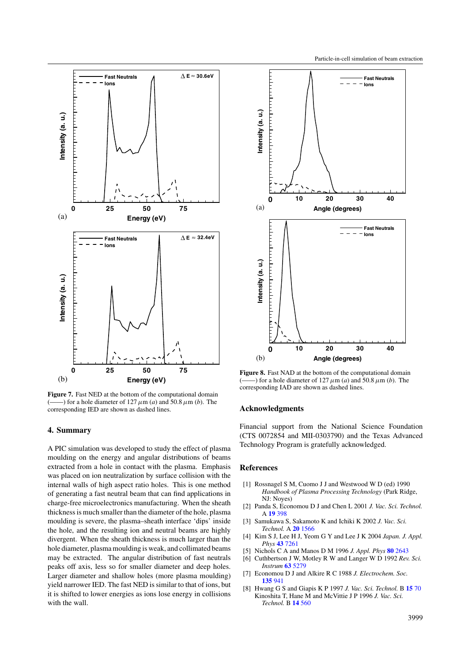<span id="page-5-0"></span>

**Figure 7.** Fast NED at the bottom of the computational domain  $(-)$  for a hole diameter of 127  $\mu$ m (*a*) and 50.8  $\mu$ m (*b*). The corresponding IED are shown as dashed lines.

# **4. Summary**

A PIC simulation was developed to study the effect of plasma moulding on the energy and angular distributions of beams extracted from a hole in contact with the plasma. Emphasis was placed on ion neutralization by surface collision with the internal walls of high aspect ratio holes. This is one method of generating a fast neutral beam that can find applications in charge-free microelectronics manufacturing. When the sheath thickness is much smaller than the diameter of the hole, plasma moulding is severe, the plasma–sheath interface 'dips' inside the hole, and the resulting ion and neutral beams are highly divergent. When the sheath thickness is much larger than the hole diameter, plasma moulding is weak, and collimated beams may be extracted. The angular distribution of fast neutrals peaks off axis, less so for smaller diameter and deep holes. Larger diameter and shallow holes (more plasma moulding) yield narrower IED. The fast NED is similar to that of ions, but it is shifted to lower energies as ions lose energy in collisions with the wall.



**Figure 8.** Fast NAD at the bottom of the computational domain  $($ ) for a hole diameter of 127  $\mu$ m (*a*) and 50.8  $\mu$ m (*b*). The corresponding IAD are shown as dashed lines.

#### **Acknowledgments**

Financial support from the National Science Foundation (CTS 0072854 and MII-0303790) and the Texas Advanced Technology Program is gratefully acknowledged.

## **References**

- [1] Rossnagel S M, Cuomo J J and Westwood W D (ed) 1990 *Handbook of Plasma Processing Technology* (Park Ridge, NJ: Noyes)
- [2] Panda S, Economou D J and Chen L 2001 *J. Vac. Sci. Technol.* A **19** [398](http://dx.doi.org/10.1116/1.1344909)
- [3] Samukawa S, Sakamoto K and Ichiki K 2002 *J. Vac. Sci. Technol.* A **20** [1566](http://dx.doi.org/10.1116/1.1494820)
- [4] Kim S J, Lee H J, Yeom G Y and Lee J K 2004 *Japan. J. Appl. Phys* **43** [7261](http://dx.doi.org/10.1143/JJAP.43.7261)
- [5] Nichols C A and Manos D M 1996 *J. Appl. Phys* **80** [2643](http://dx.doi.org/10.1063/1.363180)
- [6] Cuthbertson J W, Motley R W and Langer W D 1992 *Rev. Sci. Instrum* **63** [5279](http://dx.doi.org/10.1063/1.1143440)
- [7] Economou D J and Alkire R C 1988 *J. Electrochem. Soc.* **[135](http://dx.doi.org/10.1149/1.2095842)** 941
- [8] Hwang G S and Giapis K P 1997 *J. Vac. Sci. Technol.* B **[15](http://dx.doi.org/10.1116/1.589258)** 70 Kinoshita T, Hane M and McVittie J P 1996 *J. Vac. Sci. Technol.* B **14** [560](http://dx.doi.org/10.1116/1.588431)